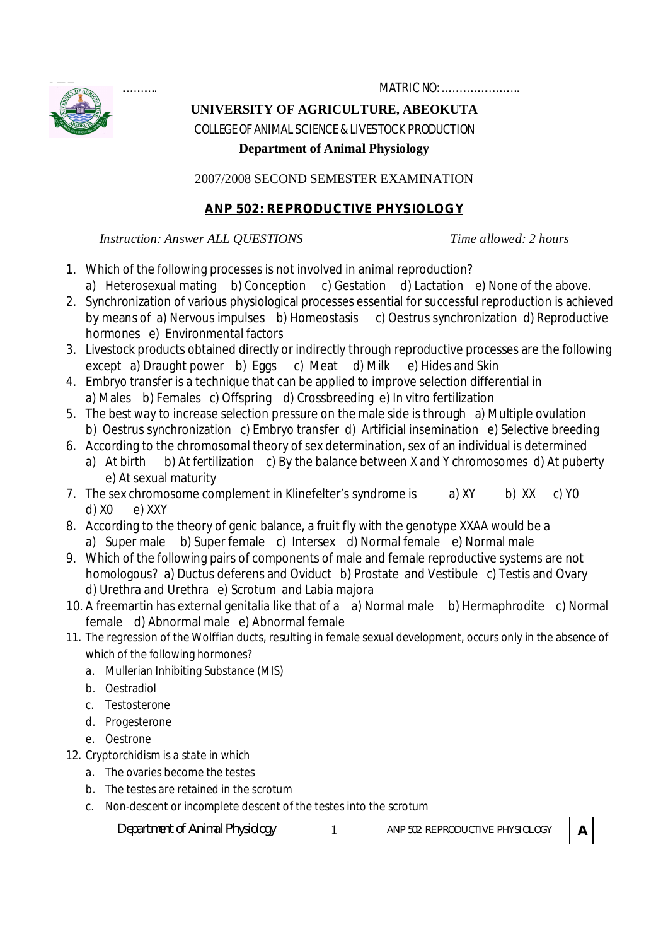

**UNIVERSITY OF AGRICULTURE, ABEOKUTA**

# COLLEGE OF ANIMAL SCIENCE & LIVESTOCK PRODUCTION

# **Department of Animal Physiology**

2007/2008 SECOND SEMESTER EXAMINATION

# **ANP 502: REPRODUCTIVE PHYSIOLOGY**

*Instruction: Answer ALL QUESTIONS Time allowed: 2 hours*

- 1. Which of the following processes is not involved in animal reproduction?
- a) Heterosexual mating b) Conception c) Gestation d) Lactation e) None of the above. 2. Synchronization of various physiological processes essential for successful reproduction is achieved by means of a) Nervous impulses b) Homeostasis c) Oestrus synchronization d) Reproductive
- hormones e) Environmental factors
- 3. Livestock products obtained directly or indirectly through reproductive processes are the following except a) Draught power b) Eggs c) Meat d) Milk e) Hides and Skin
- 4. Embryo transfer is a technique that can be applied to improve selection differential in a) Males b) Females c) Offspring d) Crossbreeding e) *In vitro* fertilization
- 5. The best way to increase selection pressure on the male side is through a) Multiple ovulation b) Oestrus synchronization c) Embryo transfer d) Artificial insemination e) Selective breeding
- 6. According to the chromosomal theory of sex determination, sex of an individual is determined a) At birth b) At fertilization c) By the balance between X and Y chromosomes d) At puberty e) At sexual maturity
- 7. The sex chromosome complement in Klinefelter's syndrome is a) XY b) XX c) Y0 d) X0 e) XXY
- 8. According to the theory of genic balance, a fruit fly with the genotype XXAA would be a a) Super male b) Super female c) Intersex d) Normal female e) Normal male
- 9. Which of the following pairs of components of male and female reproductive systems are not homologous? a) Ductus deferens and Oviduct b) Prostate and Vestibule c) Testis and Ovary d) Urethra and Urethra e) Scrotum and Labia majora
- 10. A freemartin has external genitalia like that of a a) Normal male b) Hermaphrodite c) Normal female d) Abnormal male e) Abnormal female
- 11. The regression of the Wolffian ducts, resulting in female sexual development, occurs only in the absence of which of the following hormones?
	- a. Mullerian Inhibiting Substance (MIS)
	- b. Oestradiol
	- c. Testosterone
	- d. Progesterone
	- e. Oestrone
- 12. Cryptorchidism is a state in which
	- a. The ovaries become the testes
	- b. The testes are retained in the scrotum
	- c. Non-descent or incomplete descent of the testes into the scrotum

*Department of Animal Physiology* 1 *ANP 502: REPRODUCTIVE PHYSIOLOGY* **A**

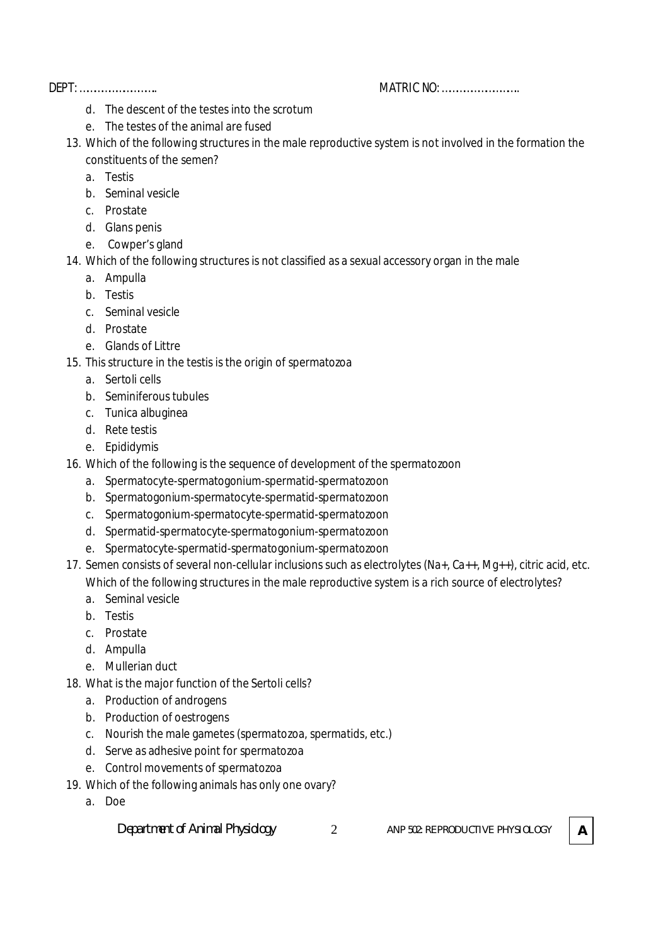- d. The descent of the testes into the scrotum
- e. The testes of the animal are fused
- 13. Which of the following structures in the male reproductive system is not involved in the formation the constituents of the semen?
	- a. Testis
	- b. Seminal vesicle
	- c. Prostate
	- d. Glans penis
	- e. Cowper's gland
- 14. Which of the following structures is not classified as a sexual accessory organ in the male
	- a. Ampulla
	- b. Testis
	- c. Seminal vesicle
	- d. Prostate
	- e. Glands of Littre
- 15. This structure in the testis is the origin of spermatozoa
	- a. Sertoli cells
	- b. Seminiferous tubules
	- c. Tunica albuginea
	- d. Rete testis
	- e. Epididymis
- 16. Which of the following is the sequence of development of the spermatozoon
	- a. Spermatocyte-spermatogonium-spermatid-spermatozoon
	- b. Spermatogonium-spermatocyte-spermatid-spermatozoon
	- c. Spermatogonium-spermatocyte-spermatid-spermatozoon
	- d. Spermatid-spermatocyte-spermatogonium-spermatozoon
	- e. Spermatocyte-spermatid-spermatogonium-spermatozoon
- 17. Semen consists of several non-cellular inclusions such as electrolytes (Na+, Ca++, Mg++), citric acid, etc. Which of the following structures in the male reproductive system is a rich source of electrolytes?
	- a. Seminal vesicle
	- b. Testis
	- c. Prostate
	- d. Ampulla
	- e. Mullerian duct
- 18. What is the major function of the Sertoli cells?
	- a. Production of androgens
	- b. Production of oestrogens
	- c. Nourish the male gametes (spermatozoa, spermatids, etc.)
	- d. Serve as adhesive point for spermatozoa
	- e. Control movements of spermatozoa
- 19. Which of the following animals has only one ovary?
	- a. Doe

*Department of Animal Physiology* 2 *ANP 502: REPRODUCTIVE PHYSIOLOGY* **A**

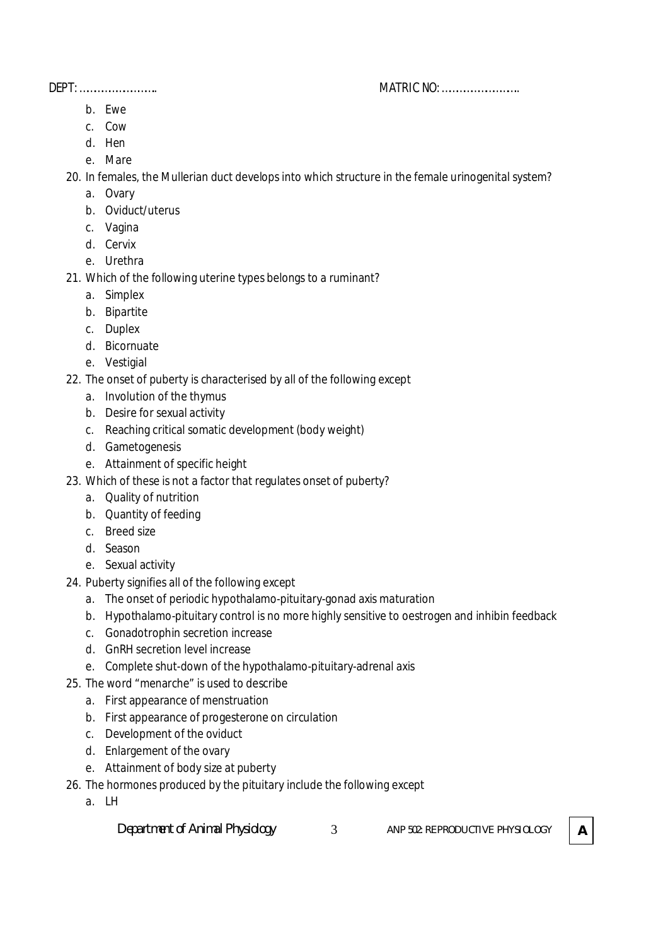- b. Ewe
- c. Cow
- d. Hen
- e. Mare

20. In females, the Mullerian duct develops into which structure in the female urinogenital system?

- a. Ovary
- b. Oviduct/uterus
- c. Vagina
- d. Cervix
- e. Urethra
- 21. Which of the following uterine types belongs to a ruminant?
	- a. Simplex
	- b. Bipartite
	- c. Duplex
	- d. Bicornuate
	- e. Vestigial
- 22. The onset of puberty is characterised by all of the following except
	- a. Involution of the thymus
	- b. Desire for sexual activity
	- c. Reaching critical somatic development (body weight)
	- d. Gametogenesis
	- e. Attainment of specific height
- 23. Which of these is not a factor that regulates onset of puberty?
	- a. Quality of nutrition
	- b. Quantity of feeding
	- c. Breed size
	- d. Season
	- e. Sexual activity
- 24. Puberty signifies all of the following except
	- a. The onset of periodic hypothalamo-pituitary-gonad axis maturation
	- b. Hypothalamo-pituitary control is no more highly sensitive to oestrogen and inhibin feedback
	- c. Gonadotrophin secretion increase
	- d. GnRH secretion level increase
	- e. Complete shut-down of the hypothalamo-pituitary-adrenal axis
- 25. The word "menarche" is used to describe
	- a. First appearance of menstruation
	- b. First appearance of progesterone on circulation
	- c. Development of the oviduct
	- d. Enlargement of the ovary
	- e. Attainment of body size at puberty
- 26. The hormones produced by the pituitary include the following except
	- a. LH

*Department of Animal Physiology* 3 *ANP 502: REPRODUCTIVE PHYSIOLOGY* **A**

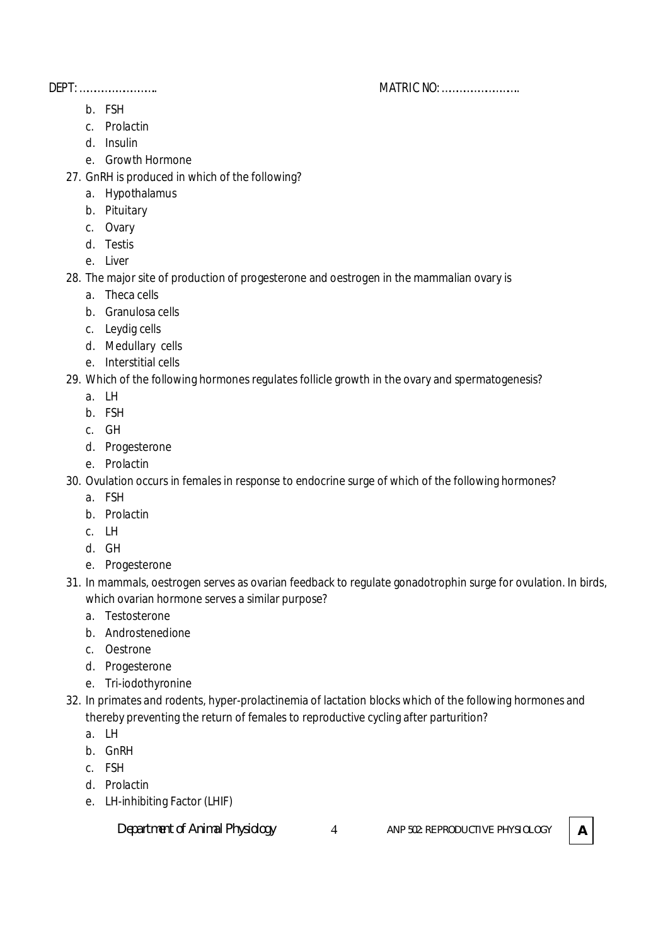- b. FSH
	- c. Prolactin
	- d. Insulin
	- e. Growth Hormone
- 27. GnRH is produced in which of the following?
	- a. Hypothalamus
	- b. Pituitary
	- c. Ovary
	- d. Testis
	- e. Liver
- 28. The major site of production of progesterone and oestrogen in the mammalian ovary is
	- a. Theca cells
	- b. Granulosa cells
	- c. Leydig cells
	- d. Medullary cells
	- e. Interstitial cells
- 29. Which of the following hormones regulates follicle growth in the ovary and spermatogenesis?
	- a. LH
	- b. FSH
	- c. GH
	- d. Progesterone
	- e. Prolactin
- 30. Ovulation occurs in females in response to endocrine surge of which of the following hormones?
	- a. FSH
	- b. Prolactin
	- c. LH
	- d. GH
	- e. Progesterone
- 31. In mammals, oestrogen serves as ovarian feedback to regulate gonadotrophin surge for ovulation. In birds, which ovarian hormone serves a similar purpose?
	- a. Testosterone
	- b. Androstenedione
	- c. Oestrone
	- d. Progesterone
	- e. Tri-iodothyronine
- 32. In primates and rodents, hyper-prolactinemia of lactation blocks which of the following hormones and thereby preventing the return of females to reproductive cycling after parturition?
	- a. LH
	- b. GnRH
	- c. FSH
	- d. Prolactin
	- e. LH-inhibiting Factor (LHIF)

*Department of Animal Physiology* 4 *ANP 502: REPRODUCTIVE PHYSIOLOGY* **A**

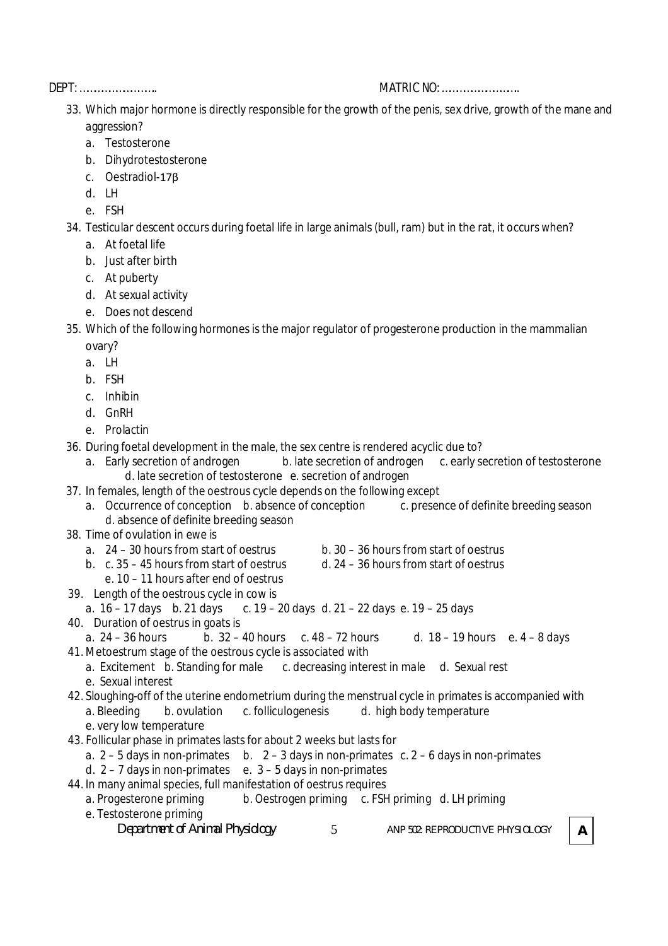- 33. Which major hormone is directly responsible for the growth of the penis, sex drive, growth of the mane and aggression?
	- a. Testosterone
	- b. Dihydrotestosterone
	- c. Oestradiol-17β
	- d. LH
	- e. FSH
- 34. Testicular descent occurs during foetal life in large animals (bull, ram) but in the rat, it occurs when?
	- a. At foetal life
	- b. Just after birth
	- c. At puberty
	- d. At sexual activity
	- e. Does not descend
- 35. Which of the following hormones is the major regulator of progesterone production in the mammalian ovary?
	- a. LH
	- b. FSH
	- c. Inhibin
	- d. GnRH
	- e. Prolactin
- 36. During foetal development in the male, the sex centre is rendered acyclic due to?
	- a. Early secretion of androgen b. late secretion of androgen c. early secretion of testosterone d. late secretion of testosterone e. secretion of androgen
- 37. In females, length of the oestrous cycle depends on the following except
	- a. Occurrence of conception b. absence of conception c. presence of definite breeding season d. absence of definite breeding season
- 38. Time of ovulation in ewe is
	- a.  $24 30$  hours from start of oestrus b.  $30 36$  hours from start of oestrus
	- b. c. 35 45 hours from start of oestrus d. 24 36 hours from start of oestrus
		- e. 10 11 hours after end of oestrus
- 39. Length of the oestrous cycle in cow is<br> $a. 16 17$  days b. 21 days c.  $19 27$
- c.  $19 20$  days d.  $21 22$  days e.  $19 25$  days
- 40. Duration of oestrus in goats is
	- a. 24 36 hours b. 32 40 hours c. 48 72 hours d. 18 19 hours e. 4 8 days
- 41. Metoestrum stage of the oestrous cycle is associated with
	- a. Excitement b. Standing for male c. decreasing interest in male d. Sexual rest
		- e. Sexual interest
- 42. Sloughing-off of the uterine endometrium during the menstrual cycle in primates is accompanied with a. Bleeding b. ovulation c. folliculogenesis d. high body temperature
	- e. very low temperature
- 43. Follicular phase in primates lasts for about 2 weeks but lasts for
	- a.  $2 5$  days in non-primates b.  $2 3$  days in non-primates c.  $2 6$  days in non-primates
	- d.  $2 7$  days in non-primates e.  $3 5$  days in non-primates
- 44. In many animal species, full manifestation of oestrus requires
	- a. Progesterone priming b. Oestrogen priming c. FSH priming d. LH priming e. Testosterone priming
		-

*Department of Animal Physiology* 5 *ANP 502: REPRODUCTIVE PHYSIOLOGY* **A**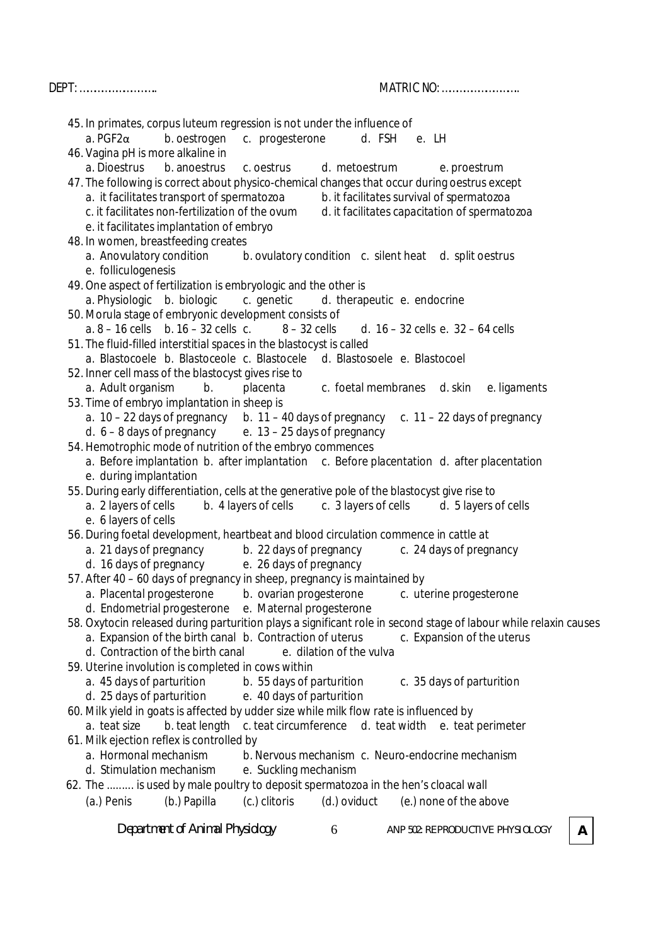DEPT: ………………………….. MATRIC NO: ………………………….. 45. In primates, corpus luteum regression is not under the influence of a. PGF2α b. oestrogen c. progesterone d. FSH e. LH 46. Vagina pH is more alkaline in a. Dioestrus b. anoestrus c. oestrus d. metoestrum e. proestrum 47. The following is correct about physico-chemical changes that occur during oestrus except<br>a. it facilitates transport of spermatozoa<br>b. it facilitates survival of spermatozoa a. it facilitates transport of spermatozoa c. it facilitates non-fertilization of the ovum d. it facilitates capacitation of spermatozoa e. it facilitates implantation of embryo 48. In women, breastfeeding creates a. Anovulatory condition b. ovulatory condition c. silent heat d. split oestrus e. folliculogenesis 49. One aspect of fertilization is embryologic and the other is a. Physiologic b. biologic c. genetic d. therapeutic e. endocrine 50. Morula stage of embryonic development consists of a.  $8 - 16$  cells b.  $16 - 32$  cells c.  $8 - 32$  cells d.  $16 - 32$  cells e.  $32 - 64$  cells 51. The fluid-filled interstitial spaces in the blastocyst is called a. Blastocoele b. Blastoceole c. Blastocele d. Blastosoele e. Blastocoel 52. Inner cell mass of the blastocyst gives rise to a. Adult organism b. placenta c. foetal membranes d. skin e. ligaments 53. Time of embryo implantation in sheep is a.  $10 - 22$  days of pregnancy b.  $11 - 40$  days of pregnancy c.  $11 - 22$  days of pregnancy d.  $6 - 8$  days of pregnancy e.  $13 - 25$  days of pregnancy 54. Hemotrophic mode of nutrition of the embryo commences a. Before implantation b. after implantation c. Before placentation d. after placentation e. during implantation 55. During early differentiation, cells at the generative pole of the blastocyst give rise to a. 2 layers of cells b. 4 layers of cells c. 3 layers of cells d. 5 layers of cells e. 6 layers of cells 56. During foetal development, heartbeat and blood circulation commence in cattle at a. 21 days of pregnancy b. 22 days of pregnancy c. 24 days of pregnancy d. 16 days of pregnancy e. 26 days of pregnancy 57. After 40 – 60 days of pregnancy in sheep, pregnancy is maintained by a. Placental progesterone b. ovarian progesterone c. uterine progesterone d. Endometrial progesterone e. Maternal progesterone 58. Oxytocin released during parturition plays a significant role in second stage of labour while relaxin causes a. Expansion of the birth canal b. Contraction of uterus  $\begin{array}{ccc} c. & \text{Expansion of the uterus} \\ d. & \text{Contraction of the birth canal} \\ e. & \text{dilation of the vulva} \end{array}$ d. Contraction of the birth canal 59. Uterine involution is completed in cows within a. 45 days of parturition b. 55 days of parturition c. 35 days of parturition d. 25 days of parturition e. 40 days of parturition 60. Milk yield in goats is affected by udder size while milk flow rate is influenced by a. teat size b. teat length c. teat circumference d. teat width e. teat perimeter 61. Milk ejection reflex is controlled by a. Hormonal mechanism b. Nervous mechanism c. Neuro-endocrine mechanism d. Stimulation mechanism e. Suckling mechanism 62. The ......... is used by male poultry to deposit spermatozoa in the hen's cloacal wall (a.) Penis (b.) Papilla (c.) clitoris (d.) oviduct (e.) none of the above

*Department of Animal Physiology* 6 *ANP 502: REPRODUCTIVE PHYSIOLOGY* **A**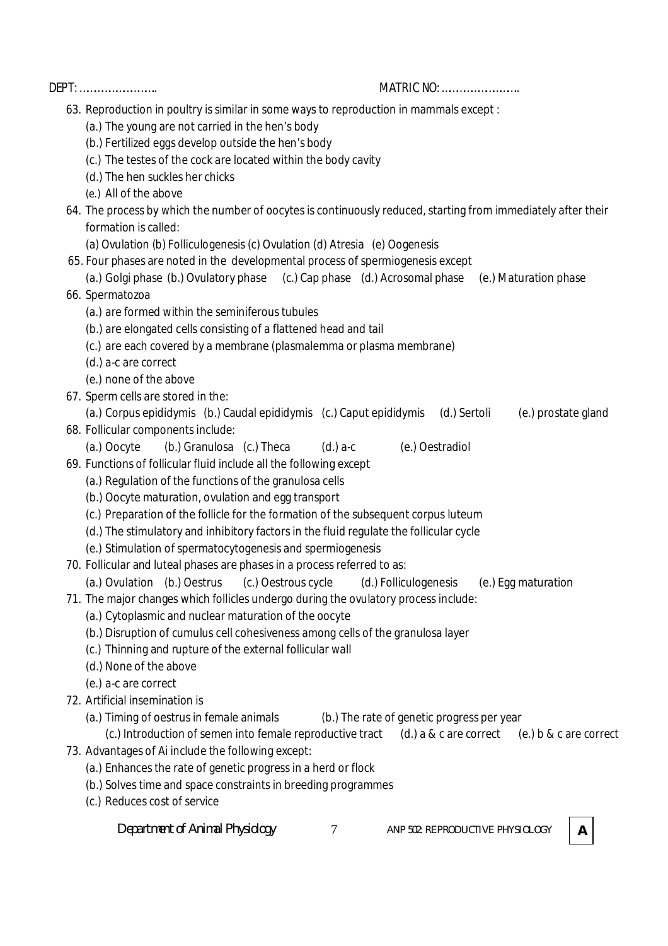|  | DEPT:                                                                                                                                            |
|--|--------------------------------------------------------------------------------------------------------------------------------------------------|
|  | 63. Reproduction in poultry is similar in some ways to reproduction in mammals except :<br>(a.) The young are not carried in the hen's body      |
|  | (b.) Fertilized eggs develop outside the hen's body<br>(c.) The testes of the cock are located within the body cavity                            |
|  | (d.) The hen suckles her chicks<br>(e.) All of the above                                                                                         |
|  | 64. The process by which the number of oocytes is continuously reduced, starting from immediately after their                                    |
|  | formation is called:                                                                                                                             |
|  | (a) Ovulation (b) Folliculogenesis (c) Ovulation (d) Atresia (e) Oogenesis                                                                       |
|  | 65. Four phases are noted in the developmental process of spermiogenesis except                                                                  |
|  | (a.) Golgi phase (b.) Ovulatory phase (c.) Cap phase (d.) Acrosomal phase<br>(e.) Maturation phase                                               |
|  | 66. Spermatozoa                                                                                                                                  |
|  | (a.) are formed within the seminiferous tubules                                                                                                  |
|  | (b.) are elongated cells consisting of a flattened head and tail                                                                                 |
|  | (c.) are each covered by a membrane (plasmalemma or plasma membrane)                                                                             |
|  | (d.) a-c are correct                                                                                                                             |
|  | (e.) none of the above                                                                                                                           |
|  | 67. Sperm cells are stored in the:                                                                                                               |
|  | (a.) Corpus epididymis (b.) Caudal epididymis (c.) Caput epididymis<br>(d.) Sertoli<br>(e.) prostate gland<br>68. Follicular components include: |
|  | (a.) Oocyte<br>(b.) Granulosa (c.) Theca<br>$(d.)$ a-c<br>(e.) Oestradiol                                                                        |
|  | 69. Functions of follicular fluid include all the following except                                                                               |
|  | (a.) Regulation of the functions of the granulosa cells                                                                                          |
|  | (b.) Oocyte maturation, ovulation and egg transport                                                                                              |
|  | (c.) Preparation of the follicle for the formation of the subsequent corpus luteum                                                               |
|  | (d.) The stimulatory and inhibitory factors in the fluid regulate the follicular cycle                                                           |
|  | (e.) Stimulation of spermatocytogenesis and spermiogenesis                                                                                       |
|  | 70. Follicular and luteal phases are phases in a process referred to as:                                                                         |
|  | (c.) Oestrous cycle<br>(a.) Ovulation (b.) Oestrus<br>(e.) Egg maturation<br>(d.) Folliculogenesis                                               |
|  | 71. The major changes which follicles undergo during the ovulatory process include:                                                              |
|  | (a.) Cytoplasmic and nuclear maturation of the oocyte<br>(b.) Disruption of cumulus cell cohesiveness among cells of the granulosa layer         |
|  | (c.) Thinning and rupture of the external follicular wall                                                                                        |
|  | (d.) None of the above                                                                                                                           |
|  | (e.) a-c are correct                                                                                                                             |
|  | 72. Artificial insemination is                                                                                                                   |
|  | (a.) Timing of oestrus in female animals<br>(b.) The rate of genetic progress per year                                                           |
|  | (c.) Introduction of semen into female reproductive tract<br>(d.) a & c are correct<br>(e.) b & c are correct                                    |
|  | 73. Advantages of Ai include the following except:                                                                                               |
|  | (a.) Enhances the rate of genetic progress in a herd or flock                                                                                    |
|  | (b.) Solves time and space constraints in breeding programmes                                                                                    |
|  | (c.) Reduces cost of service                                                                                                                     |

*Department of Animal Physiology* 7 *ANP 502: REPRODUCTIVE PHYSIOLOGY* **A**

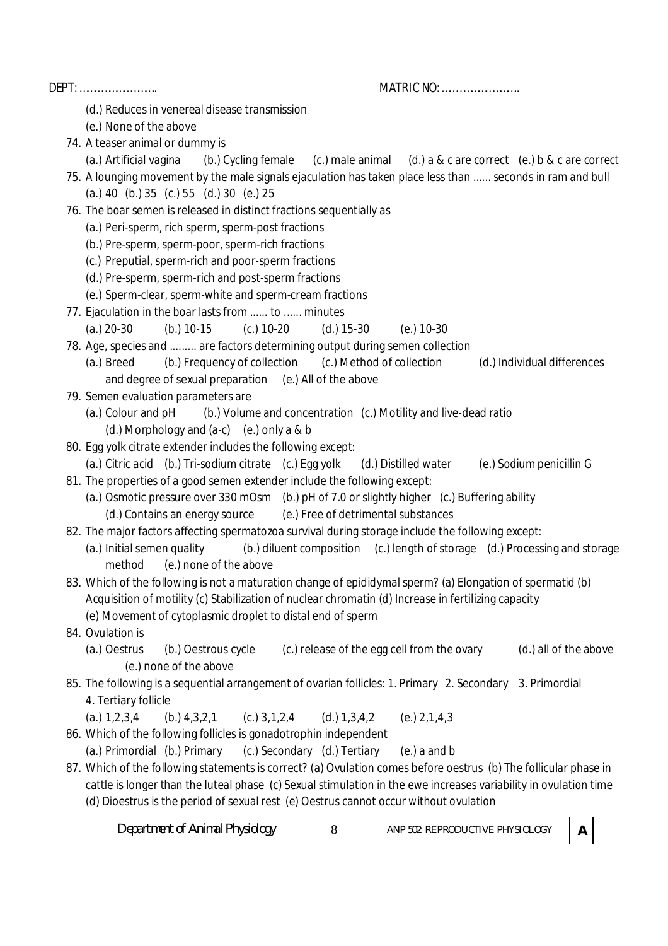- (d.) Reduces in venereal disease transmission
- (e.) None of the above
- 74. A teaser animal or dummy is
	- (a.) Artificial vagina (b.) Cycling female (c.) male animal (d.) a & c are correct (e.) b & c are correct
- 75. A lounging movement by the male signals ejaculation has taken place less than ...... seconds in ram and bull (a.) 40 (b.) 35 (c.) 55 (d.) 30 (e.) 25
- 76. The boar semen is released in distinct fractions sequentially as
	- (a.) Peri-sperm, rich sperm, sperm-post fractions
	- (b.) Pre-sperm, sperm-poor, sperm-rich fractions
	- (c.) Preputial, sperm-rich and poor-sperm fractions
	- (d.) Pre-sperm, sperm-rich and post-sperm fractions
	- (e.) Sperm-clear, sperm-white and sperm-cream fractions
- 77. Ejaculation in the boar lasts from ...... to ...... minutes
	- (a.) 20-30 (b.) 10-15 (c.) 10-20 (d.) 15-30 (e.) 10-30
- 78. Age, species and ......... are factors determining output during semen collection
	- (a.) Breed (b.) Frequency of collection (c.) Method of collection (d.) Individual differences and degree of sexual preparation (e.) All of the above
- 79. Semen evaluation parameters are
	- (a.) Colour and pH (b.) Volume and concentration (c.) Motility and live-dead ratio (d.) Morphology and (a-c) (e.) only a & b
- 80. Egg yolk citrate extender includes the following except:
- (a.) Citric acid (b.) Tri-sodium citrate (c.) Egg yolk (d.) Distilled water (e.) Sodium penicillin G 81. The properties of a good semen extender include the following except:
	- (a.) Osmotic pressure over 330 mOsm (b.) pH of 7.0 or slightly higher (c.) Buffering ability (d.) Contains an energy source (e.) Free of detrimental substances
- 82. The major factors affecting spermatozoa survival during storage include the following except:
	- (a.) Initial semen quality (b.) diluent composition (c.) length of storage (d.) Processing and storage method (e.) none of the above
- 83. Which of the following is not a maturation change of epididymal sperm? (a) Elongation of spermatid (b) Acquisition of motility (c) Stabilization of nuclear chromatin (d) Increase in fertilizing capacity (e) Movement of cytoplasmic droplet to distal end of sperm
- 84. Ovulation is
	- (a.) Oestrus (b.) Oestrous cycle (c.) release of the egg cell from the ovary (d.) all of the above (e.) none of the above
- 85. The following is a sequential arrangement of ovarian follicles: 1. Primary 2. Secondary 3. Primordial 4. Tertiary follicle
	- (a.)  $1,2,3,4$  (b.)  $4,3,2,1$  (c.)  $3,1,2,4$  (d.)  $1,3,4,2$  (e.)  $2,1,4,3$
- 86. Which of the following follicles is gonadotrophin independent
	- (a.) Primordial (b.) Primary (c.) Secondary (d.) Tertiary (e.) a and b
- 87. Which of the following statements is correct? (a) Ovulation comes before oestrus (b) The follicular phase in cattle is longer than the luteal phase (c) Sexual stimulation in the ewe increases variability in ovulation time (d) Dioestrus is the period of sexual rest (e) Oestrus cannot occur without ovulation

*Department of Animal Physiology* 8 *ANP 502: REPRODUCTIVE PHYSIOLOGY* **A**